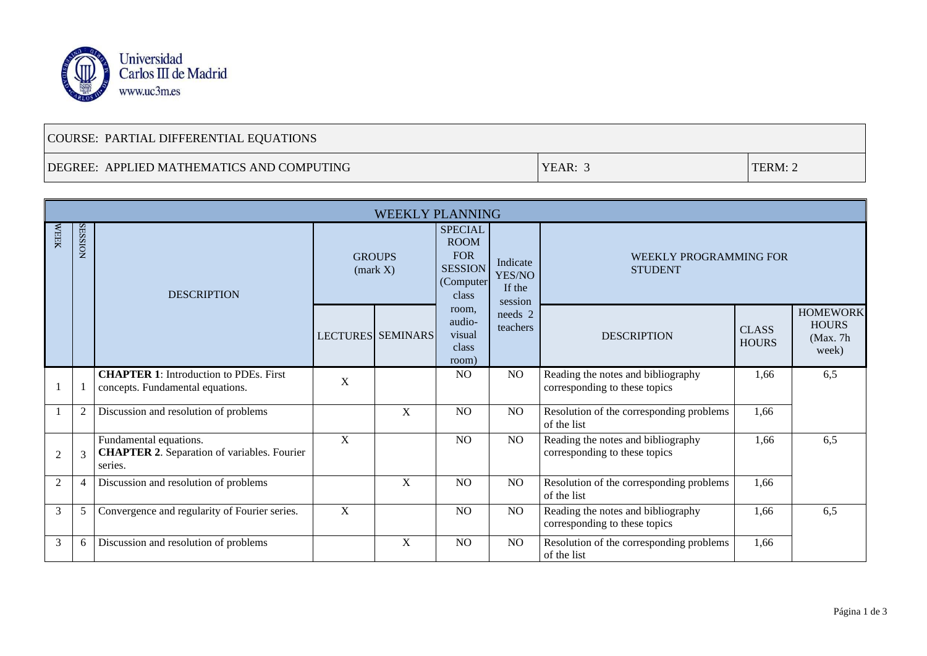

## COURSE: PARTIAL DIFFERENTIAL EQUATIONS

## DEGREE: APPLIED MATHEMATICS AND COMPUTING TERM: 2

| <b>WEEKLY PLANNING</b> |                |                                                                                         |                                   |                          |                                                                                     |                                         |                                                                     |                              |                                                       |  |  |
|------------------------|----------------|-----------------------------------------------------------------------------------------|-----------------------------------|--------------------------|-------------------------------------------------------------------------------------|-----------------------------------------|---------------------------------------------------------------------|------------------------------|-------------------------------------------------------|--|--|
| <b>WEEK</b>            | <b>SESSION</b> | <b>DESCRIPTION</b>                                                                      | <b>GROUPS</b><br>${\rm (mark X)}$ |                          | <b>SPECIAL</b><br><b>ROOM</b><br><b>FOR</b><br><b>SESSION</b><br>(Computer<br>class | Indicate<br>YES/NO<br>If the<br>session | WEEKLY PROGRAMMING FOR<br><b>STUDENT</b>                            |                              |                                                       |  |  |
|                        |                |                                                                                         |                                   | <b>LECTURES SEMINARS</b> | room,<br>audio-<br>visual<br>class<br>room)                                         | needs 2<br>teachers                     | <b>DESCRIPTION</b>                                                  | <b>CLASS</b><br><b>HOURS</b> | <b>HOMEWORK</b><br><b>HOURS</b><br>(Max. 7h)<br>week) |  |  |
|                        |                | <b>CHAPTER 1:</b> Introduction to PDEs. First<br>concepts. Fundamental equations.       | X                                 |                          | N <sub>O</sub>                                                                      | N <sub>O</sub>                          | Reading the notes and bibliography<br>corresponding to these topics | 1,66                         | 6,5                                                   |  |  |
|                        | $\overline{2}$ | Discussion and resolution of problems                                                   |                                   | X                        | NO                                                                                  | NO.                                     | Resolution of the corresponding problems<br>of the list             | 1,66                         |                                                       |  |  |
| $\overline{2}$         | 3              | Fundamental equations.<br><b>CHAPTER 2.</b> Separation of variables. Fourier<br>series. | X                                 |                          | N <sub>O</sub>                                                                      | N <sub>O</sub>                          | Reading the notes and bibliography<br>corresponding to these topics | 1,66                         | 6,5                                                   |  |  |
| $\overline{2}$         |                | Discussion and resolution of problems                                                   |                                   | X                        | N <sub>O</sub>                                                                      | NO.                                     | Resolution of the corresponding problems<br>of the list             | 1,66                         |                                                       |  |  |
| 3                      | 5              | Convergence and regularity of Fourier series.                                           | $\mathbf X$                       |                          | N <sub>O</sub>                                                                      | NO.                                     | Reading the notes and bibliography<br>corresponding to these topics | 1,66                         | 6,5                                                   |  |  |
| 3                      | 6              | Discussion and resolution of problems                                                   |                                   | X                        | N <sub>O</sub>                                                                      | NO.                                     | Resolution of the corresponding problems<br>of the list             | 1,66                         |                                                       |  |  |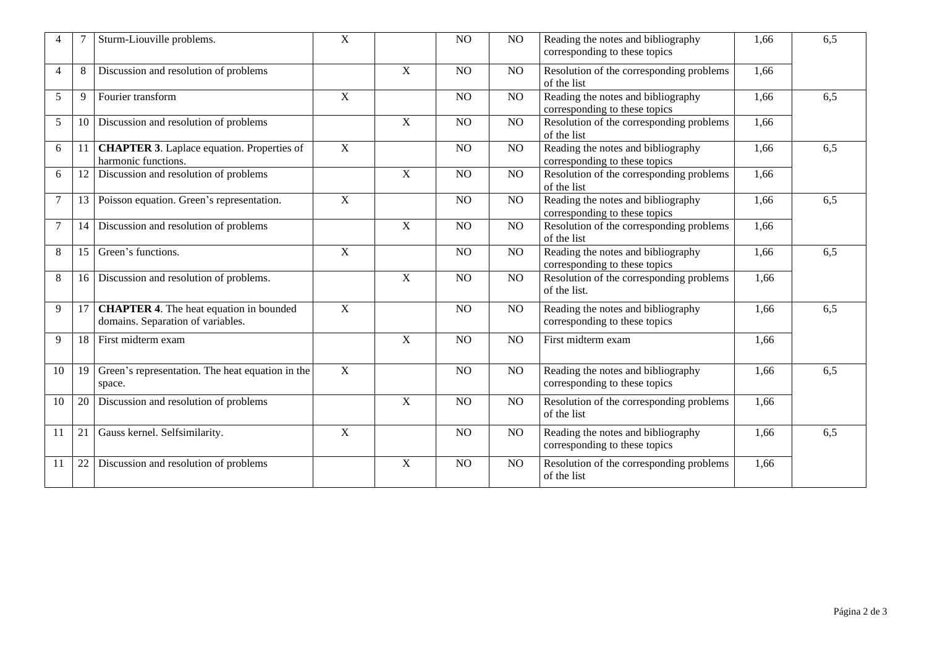|                |    | Sturm-Liouville problems.                                                           | X           |                | N <sub>O</sub> | N <sub>O</sub>  | Reading the notes and bibliography<br>corresponding to these topics | 1,66 | 6,5 |
|----------------|----|-------------------------------------------------------------------------------------|-------------|----------------|----------------|-----------------|---------------------------------------------------------------------|------|-----|
| $\overline{4}$ | 8  | Discussion and resolution of problems                                               |             | $\mathbf X$    | NO             | NO              | Resolution of the corresponding problems<br>of the list             | 1,66 |     |
| 5              | 9  | Fourier transform                                                                   | $\mathbf X$ |                | NO             | NO              | Reading the notes and bibliography<br>corresponding to these topics | 1,66 | 6,5 |
| 5              | 10 | Discussion and resolution of problems                                               |             | $\overline{X}$ | NO.            | NO <sub>1</sub> | Resolution of the corresponding problems<br>of the list             | 1,66 |     |
| 6              | 11 | <b>CHAPTER 3.</b> Laplace equation. Properties of<br>harmonic functions.            | X           |                | N <sub>O</sub> | NO              | Reading the notes and bibliography<br>corresponding to these topics | 1,66 | 6,5 |
| 6              |    | Discussion and resolution of problems                                               |             | $\mathbf X$    | N <sub>O</sub> | NO              | Resolution of the corresponding problems<br>of the list             | 1,66 |     |
| 7              | 13 | Poisson equation. Green's representation.                                           | X           |                | NO             | NO              | Reading the notes and bibliography<br>corresponding to these topics | 1,66 | 6,5 |
| $\overline{7}$ | 14 | Discussion and resolution of problems                                               |             | $\mathbf X$    | N <sub>O</sub> | NO              | Resolution of the corresponding problems<br>of the list             | 1,66 |     |
| 8              | 15 | Green's functions.                                                                  | $\mathbf X$ |                | NO             | NO              | Reading the notes and bibliography<br>corresponding to these topics | 1,66 | 6,5 |
| 8              |    | 16 Discussion and resolution of problems.                                           |             | $\mathbf X$    | NO             | NO              | Resolution of the corresponding problems<br>of the list.            | 1,66 |     |
| 9              | 17 | <b>CHAPTER 4.</b> The heat equation in bounded<br>domains. Separation of variables. | $\mathbf X$ |                | N <sub>O</sub> | N <sub>O</sub>  | Reading the notes and bibliography<br>corresponding to these topics | 1,66 | 6,5 |
| 9              | 18 | First midterm exam                                                                  |             | $\mathbf X$    | NO             | N <sub>O</sub>  | First midterm exam                                                  | 1,66 |     |
| 10             | 19 | Green's representation. The heat equation in the<br>space.                          | $\mathbf X$ |                | NO             | NO              | Reading the notes and bibliography<br>corresponding to these topics | 1,66 | 6,5 |
| 10             | 20 | Discussion and resolution of problems                                               |             | X              | N <sub>O</sub> | NO              | Resolution of the corresponding problems<br>of the list             | 1,66 |     |
| 11             | 21 | Gauss kernel. Selfsimilarity.                                                       | $\mathbf X$ |                | NO             | NO              | Reading the notes and bibliography<br>corresponding to these topics | 1,66 | 6,5 |
| 11             | 22 | Discussion and resolution of problems                                               |             | X              | NO             | NO              | Resolution of the corresponding problems<br>of the list             | 1,66 |     |